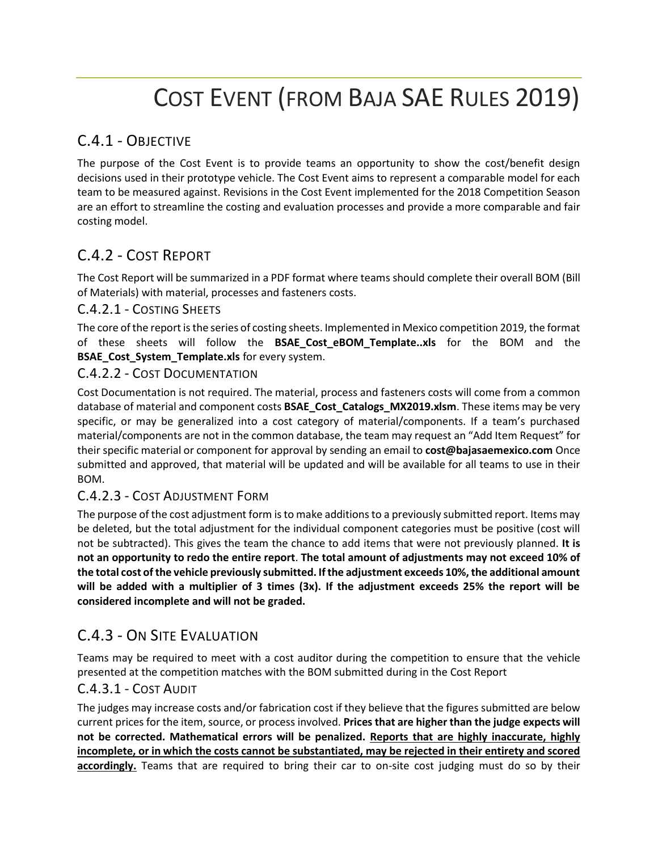# COST EVENT (FROM BAJA SAE RULES 2019)

# C.4.1 - OBJECTIVE

The purpose of the Cost Event is to provide teams an opportunity to show the cost/benefit design decisions used in their prototype vehicle. The Cost Event aims to represent a comparable model for each team to be measured against. Revisions in the Cost Event implemented for the 2018 Competition Season are an effort to streamline the costing and evaluation processes and provide a more comparable and fair costing model.

# C.4.2 - COST REPORT

The Cost Report will be summarized in a PDF format where teams should complete their overall BOM (Bill of Materials) with material, processes and fasteners costs.

### C.4.2.1 - COSTING SHEETS

The core of the report is the series of costing sheets. Implemented in Mexico competition 2019, the format of these sheets will follow the **BSAE\_Cost\_eBOM\_Template..xls** for the BOM and the **BSAE\_Cost\_System\_Template.xls** for every system.

### C.4.2.2 - COST DOCUMENTATION

Cost Documentation is not required. The material, process and fasteners costs will come from a common database of material and component costs **BSAE\_Cost\_Catalogs\_MX2019.xlsm**. These items may be very specific, or may be generalized into a cost category of material/components. If a team's purchased material/components are not in the common database, the team may request an "Add Item Request" for their specific material or component for approval by sending an email to **cost@bajasaemexico.com** Once submitted and approved, that material will be updated and will be available for all teams to use in their BOM.

# C.4.2.3 - COST ADJUSTMENT FORM

The purpose of the cost adjustment form is to make additions to a previously submitted report. Items may be deleted, but the total adjustment for the individual component categories must be positive (cost will not be subtracted). This gives the team the chance to add items that were not previously planned. **It is not an opportunity to redo the entire report**. **The total amount of adjustments may not exceed 10% of the total cost of the vehicle previously submitted. If the adjustment exceeds 10%, the additional amount will be added with a multiplier of 3 times (3x). If the adjustment exceeds 25% the report will be considered incomplete and will not be graded.**

# C.4.3 - ON SITE EVALUATION

Teams may be required to meet with a cost auditor during the competition to ensure that the vehicle presented at the competition matches with the BOM submitted during in the Cost Report

### C.4.3.1 - COST AUDIT

The judges may increase costs and/or fabrication cost if they believe that the figures submitted are below current prices for the item, source, or process involved. **Prices that are higher than the judge expects will not be corrected. Mathematical errors will be penalized. Reports that are highly inaccurate, highly incomplete, or in which the costs cannot be substantiated, may be rejected in their entirety and scored accordingly.** Teams that are required to bring their car to on-site cost judging must do so by their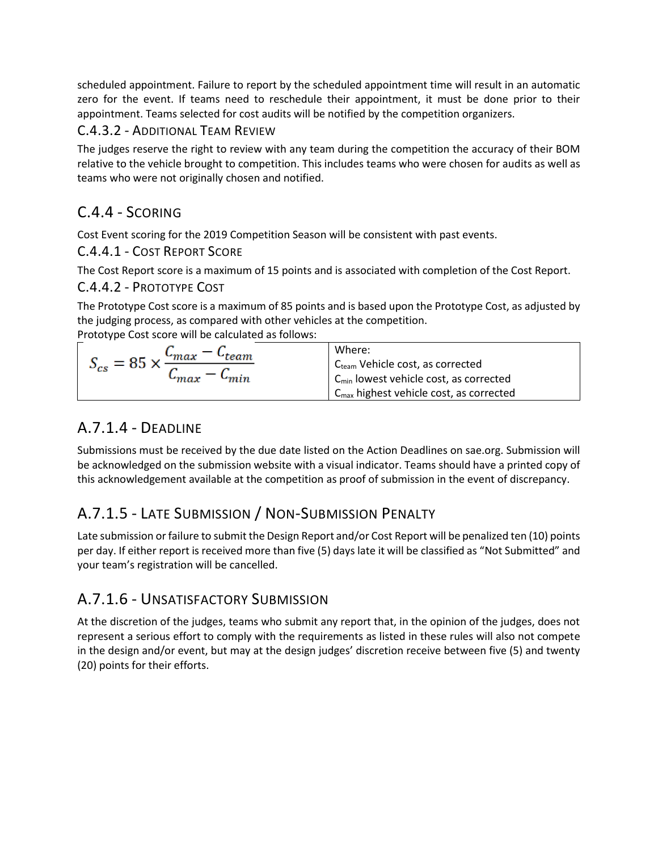scheduled appointment. Failure to report by the scheduled appointment time will result in an automatic zero for the event. If teams need to reschedule their appointment, it must be done prior to their appointment. Teams selected for cost audits will be notified by the competition organizers.

# C.4.3.2 - ADDITIONAL TEAM REVIEW

The judges reserve the right to review with any team during the competition the accuracy of their BOM relative to the vehicle brought to competition. This includes teams who were chosen for audits as well as teams who were not originally chosen and notified.

# C.4.4 - SCORING

Cost Event scoring for the 2019 Competition Season will be consistent with past events.

# C.4.4.1 - COST REPORT SCORE

The Cost Report score is a maximum of 15 points and is associated with completion of the Cost Report.

# C.4.4.2 - PROTOTYPE COST

The Prototype Cost score is a maximum of 85 points and is based upon the Prototype Cost, as adjusted by the judging process, as compared with other vehicles at the competition.

Prototype Cost score will be calculated as follows:

| $\mathsf{v}_{max}$<br>$S_{cs} = 85$ :<br>$-$ max | Where:                                              |
|--------------------------------------------------|-----------------------------------------------------|
|                                                  | C <sub>team</sub> Vehicle cost, as corrected        |
|                                                  | $C_{\text{min}}$ lowest vehicle cost, as corrected  |
|                                                  | $C_{\text{max}}$ highest vehicle cost, as corrected |

# A.7.1.4 - DEADLINE

Submissions must be received by the due date listed on the Action Deadlines on sae.org. Submission will be acknowledged on the submission website with a visual indicator. Teams should have a printed copy of this acknowledgement available at the competition as proof of submission in the event of discrepancy.

# A.7.1.5 - LATE SUBMISSION / NON-SUBMISSION PENALTY

Late submission or failure to submit the Design Report and/or Cost Report will be penalized ten (10) points per day. If either report is received more than five (5) days late it will be classified as "Not Submitted" and your team's registration will be cancelled.

# A.7.1.6 - UNSATISFACTORY SUBMISSION

At the discretion of the judges, teams who submit any report that, in the opinion of the judges, does not represent a serious effort to comply with the requirements as listed in these rules will also not compete in the design and/or event, but may at the design judges' discretion receive between five (5) and twenty (20) points for their efforts.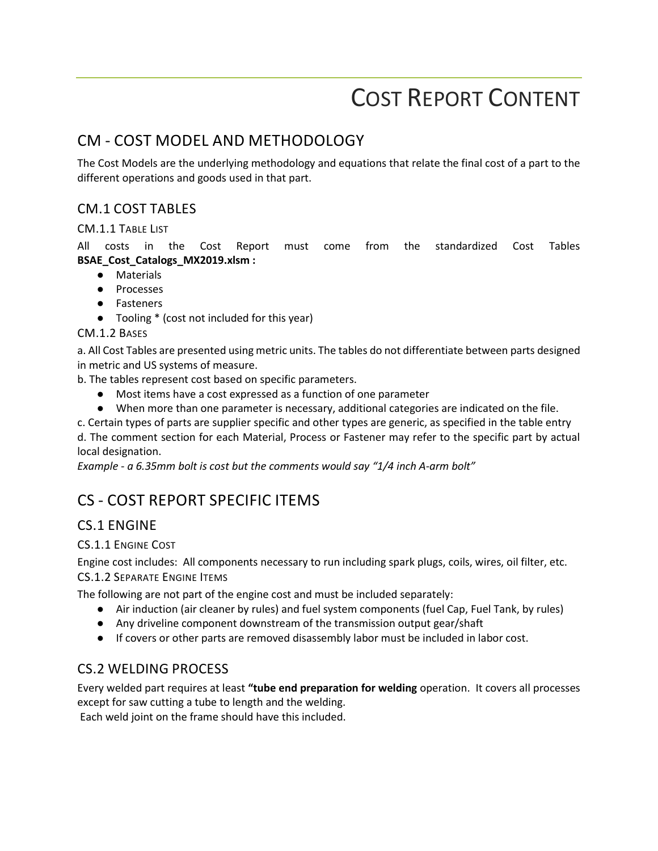# COST REPORT CONTENT

# CM - COST MODEL AND METHODOLOGY

The Cost Models are the underlying methodology and equations that relate the final cost of a part to the different operations and goods used in that part.

# CM.1 COST TABLES

#### CM.1.1 TABLE LIST

All costs in the Cost Report must come from the standardized Cost Tables **BSAE\_Cost\_Catalogs\_MX2019.xlsm :**

- Materials
- Processes
- Fasteners
- Tooling \* (cost not included for this year)

#### CM.1.2 BASES

a. All Cost Tables are presented using metric units. The tables do not differentiate between parts designed in metric and US systems of measure.

b. The tables represent cost based on specific parameters.

- Most items have a cost expressed as a function of one parameter
- When more than one parameter is necessary, additional categories are indicated on the file.
- c. Certain types of parts are supplier specific and other types are generic, as specified in the table entry

d. The comment section for each Material, Process or Fastener may refer to the specific part by actual local designation.

*Example - a 6.35mm bolt is cost but the comments would say "1/4 inch A-arm bolt"* 

# CS - COST REPORT SPECIFIC ITEMS

# CS.1 ENGINE

CS.1.1 ENGINE COST

Engine cost includes: All components necessary to run including spark plugs, coils, wires, oil filter, etc.

CS.1.2 SEPARATE ENGINE ITEMS

The following are not part of the engine cost and must be included separately:

- Air induction (air cleaner by rules) and fuel system components (fuel Cap, Fuel Tank, by rules)
- Any driveline component downstream of the transmission output gear/shaft
- If covers or other parts are removed disassembly labor must be included in labor cost.

# CS.2 WELDING PROCESS

Every welded part requires at least **"tube end preparation for welding** operation. It covers all processes except for saw cutting a tube to length and the welding.

Each weld joint on the frame should have this included.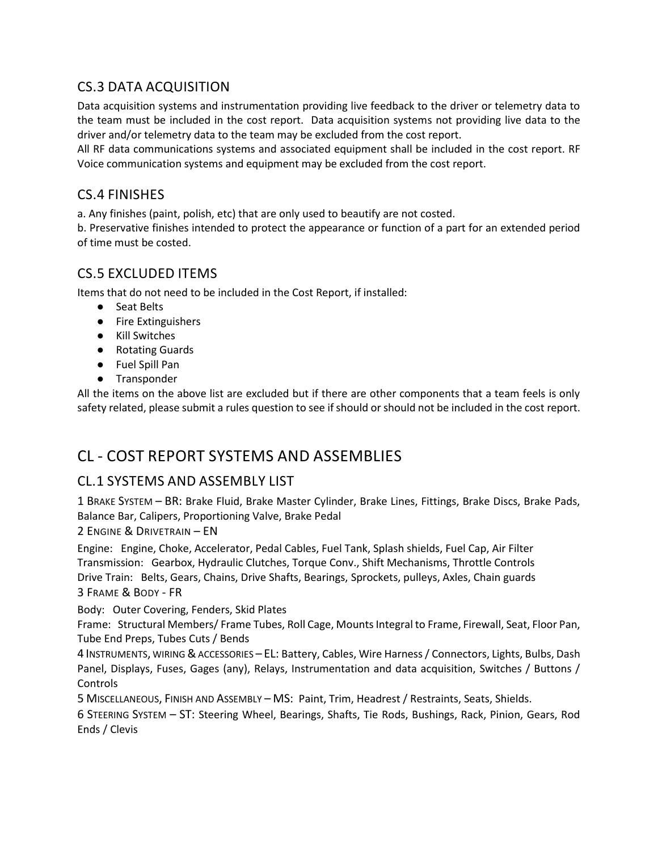# CS.3 DATA ACQUISITION

Data acquisition systems and instrumentation providing live feedback to the driver or telemetry data to the team must be included in the cost report. Data acquisition systems not providing live data to the driver and/or telemetry data to the team may be excluded from the cost report.

All RF data communications systems and associated equipment shall be included in the cost report. RF Voice communication systems and equipment may be excluded from the cost report.

# CS.4 FINISHES

a. Any finishes (paint, polish, etc) that are only used to beautify are not costed.

b. Preservative finishes intended to protect the appearance or function of a part for an extended period of time must be costed.

# CS.5 EXCLUDED ITEMS

Items that do not need to be included in the Cost Report, if installed:

- Seat Belts
- Fire Extinguishers
- Kill Switches
- Rotating Guards
- Fuel Spill Pan
- Transponder

All the items on the above list are excluded but if there are other components that a team feels is only safety related, please submit a rules question to see if should or should not be included in the cost report.

# CL - COST REPORT SYSTEMS AND ASSEMBLIES

# CL.1 SYSTEMS AND ASSEMBLY LIST

1 BRAKE SYSTEM – BR: Brake Fluid, Brake Master Cylinder, Brake Lines, Fittings, Brake Discs, Brake Pads, Balance Bar, Calipers, Proportioning Valve, Brake Pedal

2 ENGINE & DRIVETRAIN – EN

Engine: Engine, Choke, Accelerator, Pedal Cables, Fuel Tank, Splash shields, Fuel Cap, Air Filter Transmission: Gearbox, Hydraulic Clutches, Torque Conv., Shift Mechanisms, Throttle Controls Drive Train: Belts, Gears, Chains, Drive Shafts, Bearings, Sprockets, pulleys, Axles, Chain guards 3 FRAME & BODY - FR

#### Body: Outer Covering, Fenders, Skid Plates

Frame: Structural Members/ Frame Tubes, Roll Cage, Mounts Integral to Frame, Firewall, Seat, Floor Pan, Tube End Preps, Tubes Cuts / Bends

4 INSTRUMENTS, WIRING &ACCESSORIES – EL: Battery, Cables, Wire Harness / Connectors, Lights, Bulbs, Dash Panel, Displays, Fuses, Gages (any), Relays, Instrumentation and data acquisition, Switches / Buttons / Controls

5 MISCELLANEOUS, FINISH AND ASSEMBLY – MS: Paint, Trim, Headrest / Restraints, Seats, Shields.

6 STEERING SYSTEM – ST: Steering Wheel, Bearings, Shafts, Tie Rods, Bushings, Rack, Pinion, Gears, Rod Ends / Clevis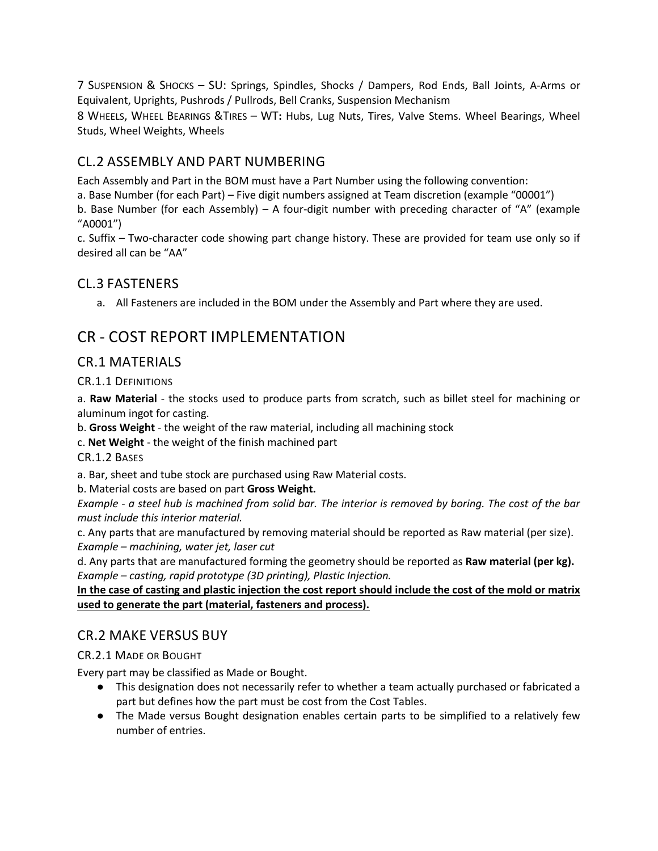7 SUSPENSION & SHOCKS – SU: Springs, Spindles, Shocks / Dampers, Rod Ends, Ball Joints, A-Arms or Equivalent, Uprights, Pushrods / Pullrods, Bell Cranks, Suspension Mechanism

8 WHEELS, WHEEL BEARINGS &TIRES – WT**:** Hubs, Lug Nuts, Tires, Valve Stems. Wheel Bearings, Wheel Studs, Wheel Weights, Wheels

# CL.2 ASSEMBLY AND PART NUMBERING

Each Assembly and Part in the BOM must have a Part Number using the following convention:

a. Base Number (for each Part) – Five digit numbers assigned at Team discretion (example "00001")

b. Base Number (for each Assembly) – A four-digit number with preceding character of "A" (example "A0001")

c. Suffix – Two-character code showing part change history. These are provided for team use only so if desired all can be "AA"

### CL.3 FASTENERS

a. All Fasteners are included in the BOM under the Assembly and Part where they are used.

# CR - COST REPORT IMPLEMENTATION

### CR.1 MATERIALS

CR.1.1 DEFINITIONS

a. **Raw Material** - the stocks used to produce parts from scratch, such as billet steel for machining or aluminum ingot for casting.

b. **Gross Weight** - the weight of the raw material, including all machining stock

c. **Net Weight** - the weight of the finish machined part

CR.1.2 BASES

a. Bar, sheet and tube stock are purchased using Raw Material costs.

b. Material costs are based on part **Gross Weight.**

*Example - a steel hub is machined from solid bar. The interior is removed by boring. The cost of the bar must include this interior material.* 

c. Any parts that are manufactured by removing material should be reported as Raw material (per size). *Example – machining, water jet, laser cut* 

d. Any parts that are manufactured forming the geometry should be reported as **Raw material (per kg).** *Example – casting, rapid prototype (3D printing), Plastic Injection.*

**In the case of casting and plastic injection the cost report should include the cost of the mold or matrix used to generate the part (material, fasteners and process).**

### CR.2 MAKE VERSUS BUY

#### CR.2.1 MADE OR BOUGHT

Every part may be classified as Made or Bought.

- This designation does not necessarily refer to whether a team actually purchased or fabricated a part but defines how the part must be cost from the Cost Tables.
- The Made versus Bought designation enables certain parts to be simplified to a relatively few number of entries.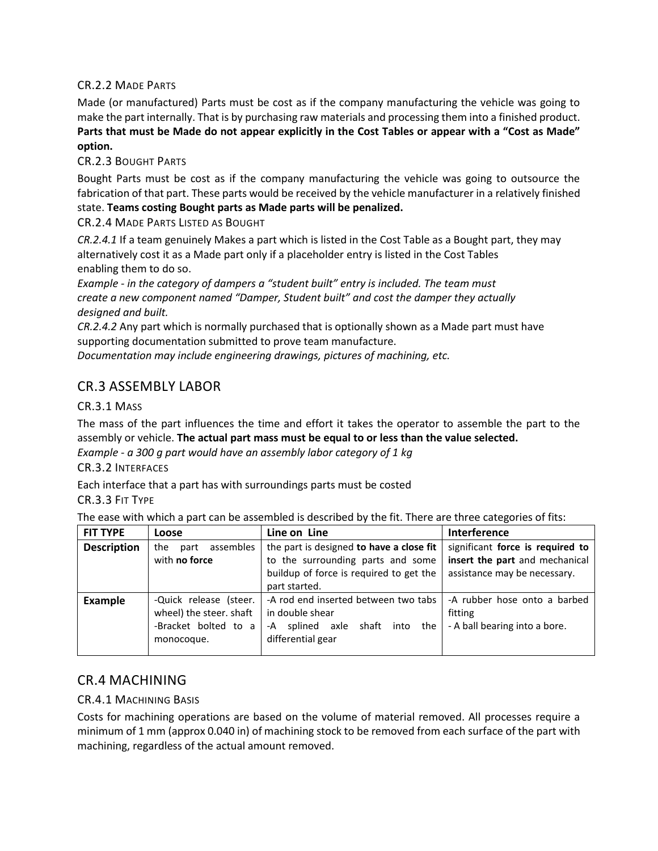#### CR.2.2 MADE PARTS

Made (or manufactured) Parts must be cost as if the company manufacturing the vehicle was going to make the part internally. That is by purchasing raw materials and processing them into a finished product. **Parts that must be Made do not appear explicitly in the Cost Tables or appear with a "Cost as Made" option.**

#### CR.2.3 BOUGHT PARTS

Bought Parts must be cost as if the company manufacturing the vehicle was going to outsource the fabrication of that part. These parts would be received by the vehicle manufacturer in a relatively finished state. **Teams costing Bought parts as Made parts will be penalized.**

CR.2.4 MADE PARTS LISTED AS BOUGHT

*CR.2.4.1* If a team genuinely Makes a part which is listed in the Cost Table as a Bought part, they may alternatively cost it as a Made part only if a placeholder entry is listed in the Cost Tables enabling them to do so.

*Example - in the category of dampers a "student built" entry is included. The team must create a new component named "Damper, Student built" and cost the damper they actually designed and built.*

*CR.2.4.2* Any part which is normally purchased that is optionally shown as a Made part must have supporting documentation submitted to prove team manufacture.

*Documentation may include engineering drawings, pictures of machining, etc.*

# CR.3 ASSEMBLY LABOR

#### CR.3.1 MASS

The mass of the part influences the time and effort it takes the operator to assemble the part to the assembly or vehicle. **The actual part mass must be equal to or less than the value selected.** 

*Example - a 300 g part would have an assembly labor category of 1 kg* 

#### CR.3.2 INTERFACES

Each interface that a part has with surroundings parts must be costed

CR.3.3 FIT TYPE

The ease with which a part can be assembled is described by the fit. There are three categories of fits:

| <b>FIT TYPE</b>    | Loose                    | Line on Line                               | Interference                     |
|--------------------|--------------------------|--------------------------------------------|----------------------------------|
| <b>Description</b> | assembles<br>part<br>the | the part is designed to have a close fit   | significant force is required to |
|                    | with no force            | to the surrounding parts and some          | insert the part and mechanical   |
|                    |                          | buildup of force is required to get the    | assistance may be necessary.     |
|                    |                          | part started.                              |                                  |
| Example            | -Quick release (steer.   | -A rod end inserted between two tabs       | -A rubber hose onto a barbed     |
|                    | wheel) the steer. shaft  | in double shear                            | fitting                          |
|                    | -Bracket bolted to a     | shaft<br>splined axle<br>into<br>the<br>-A | - A ball bearing into a bore.    |
|                    | monocoque.               | differential gear                          |                                  |
|                    |                          |                                            |                                  |

# CR.4 MACHINING

#### CR.4.1 MACHINING BASIS

Costs for machining operations are based on the volume of material removed. All processes require a minimum of 1 mm (approx 0.040 in) of machining stock to be removed from each surface of the part with machining, regardless of the actual amount removed.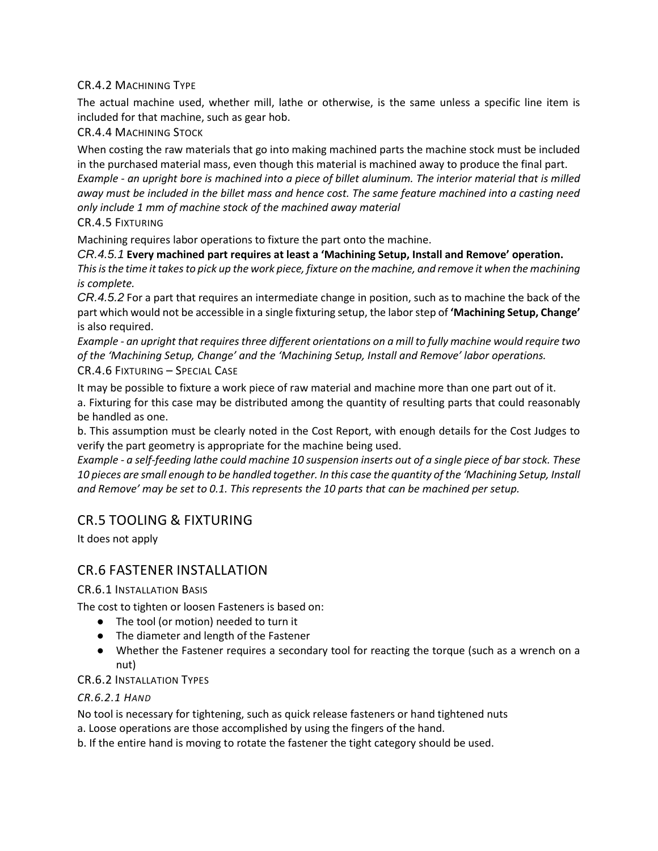#### CR.4.2 MACHINING TYPE

The actual machine used, whether mill, lathe or otherwise, is the same unless a specific line item is included for that machine, such as gear hob.

#### CR.4.4 MACHINING STOCK

When costing the raw materials that go into making machined parts the machine stock must be included in the purchased material mass, even though this material is machined away to produce the final part. *Example - an upright bore is machined into a piece of billet aluminum. The interior material that is milled away must be included in the billet mass and hence cost. The same feature machined into a casting need only include 1 mm of machine stock of the machined away material* 

CR.4.5 FIXTURING

Machining requires labor operations to fixture the part onto the machine.

*CR.4.5.1* **Every machined part requires at least a 'Machining Setup, Install and Remove' operation.** 

*This is the time it takes to pick up the work piece, fixture on the machine, and remove it when the machining is complete.* 

*CR.4.5.2* For a part that requires an intermediate change in position, such as to machine the back of the part which would not be accessible in a single fixturing setup, the labor step of **'Machining Setup, Change'** is also required.

*Example - an upright that requires three different orientations on a mill to fully machine would require two of the 'Machining Setup, Change' and the 'Machining Setup, Install and Remove' labor operations.*  CR.4.6 FIXTURING – SPECIAL CASE

It may be possible to fixture a work piece of raw material and machine more than one part out of it.

a. Fixturing for this case may be distributed among the quantity of resulting parts that could reasonably be handled as one.

b. This assumption must be clearly noted in the Cost Report, with enough details for the Cost Judges to verify the part geometry is appropriate for the machine being used.

*Example - a self-feeding lathe could machine 10 suspension inserts out of a single piece of bar stock. These 10 pieces are small enough to be handled together. In this case the quantity of the 'Machining Setup, Install and Remove' may be set to 0.1. This represents the 10 parts that can be machined per setup.*

# CR.5 TOOLING & FIXTURING

It does not apply

### CR.6 FASTENER INSTALLATION

#### CR.6.1 INSTALLATION BASIS

The cost to tighten or loosen Fasteners is based on:

- The tool (or motion) needed to turn it
- The diameter and length of the Fastener
- Whether the Fastener requires a secondary tool for reacting the torque (such as a wrench on a nut)

#### CR.6.2 INSTALLATION TYPES

#### *CR.6.2.1 HAND*

No tool is necessary for tightening, such as quick release fasteners or hand tightened nuts

a. Loose operations are those accomplished by using the fingers of the hand.

b. If the entire hand is moving to rotate the fastener the tight category should be used.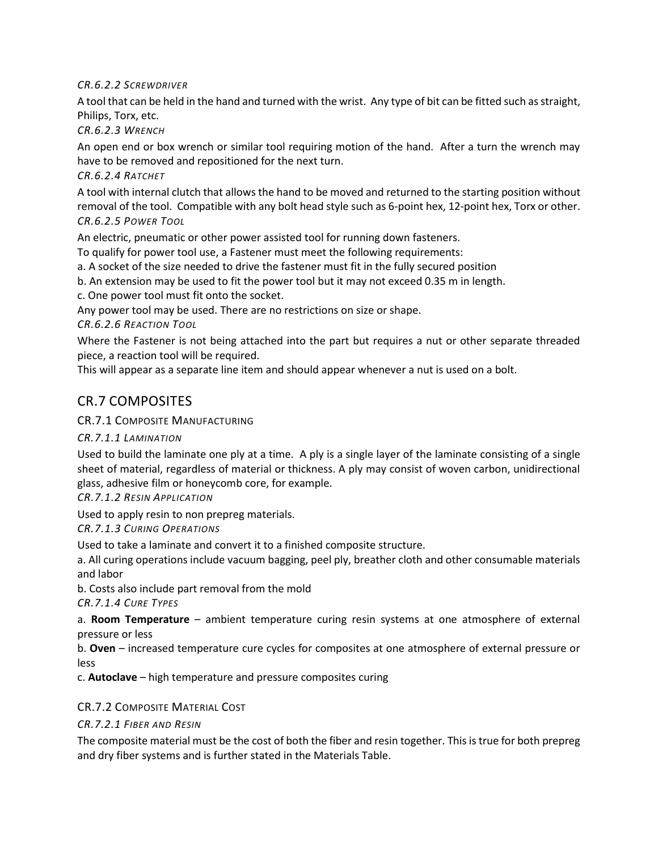*CR.6.2.2 SCREWDRIVER* 

A tool that can be held in the hand and turned with the wrist. Any type of bit can be fitted such as straight, Philips, Torx, etc.

*CR.6.2.3 WRENCH* 

An open end or box wrench or similar tool requiring motion of the hand. After a turn the wrench may have to be removed and repositioned for the next turn.

*CR.6.2.4 RATCHET* 

A tool with internal clutch that allows the hand to be moved and returned to the starting position without removal of the tool. Compatible with any bolt head style such as 6-point hex, 12-point hex, Torx or other. *CR.6.2.5 POWER TOOL* 

An electric, pneumatic or other power assisted tool for running down fasteners.

To qualify for power tool use, a Fastener must meet the following requirements:

a. A socket of the size needed to drive the fastener must fit in the fully secured position

b. An extension may be used to fit the power tool but it may not exceed 0.35 m in length.

c. One power tool must fit onto the socket.

Any power tool may be used. There are no restrictions on size or shape.

*CR.6.2.6 REACTION TOOL* 

Where the Fastener is not being attached into the part but requires a nut or other separate threaded piece, a reaction tool will be required.

This will appear as a separate line item and should appear whenever a nut is used on a bolt.

# CR.7 COMPOSITES

#### CR.7.1 COMPOSITE MANUFACTURING

*CR.7.1.1 LAMINATION* 

Used to build the laminate one ply at a time. A ply is a single layer of the laminate consisting of a single sheet of material, regardless of material or thickness. A ply may consist of woven carbon, unidirectional glass, adhesive film or honeycomb core, for example.

#### *CR.7.1.2 RESIN APPLICATION*

Used to apply resin to non prepreg materials.

*CR.7.1.3 CURING OPERATIONS* 

Used to take a laminate and convert it to a finished composite structure.

a. All curing operations include vacuum bagging, peel ply, breather cloth and other consumable materials and labor

b. Costs also include part removal from the mold

*CR.7.1.4 CURE TYPES* 

a. **Room Temperature** – ambient temperature curing resin systems at one atmosphere of external pressure or less

b. **Oven** – increased temperature cure cycles for composites at one atmosphere of external pressure or less

c. **Autoclave** – high temperature and pressure composites curing

#### CR.7.2 COMPOSITE MATERIAL COST

#### *CR.7.2.1 FIBER AND RESIN*

The composite material must be the cost of both the fiber and resin together. This is true for both prepreg and dry fiber systems and is further stated in the Materials Table.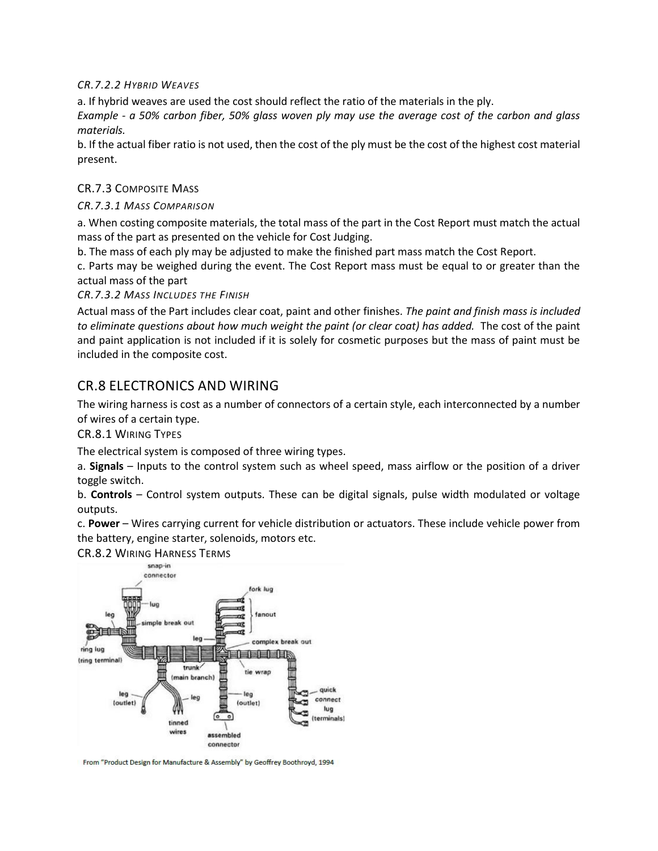*CR.7.2.2 HYBRID WEAVES* 

a. If hybrid weaves are used the cost should reflect the ratio of the materials in the ply.

*Example - a 50% carbon fiber, 50% glass woven ply may use the average cost of the carbon and glass materials.* 

b. If the actual fiber ratio is not used, then the cost of the ply must be the cost of the highest cost material present.

#### CR.7.3 COMPOSITE MASS

#### *CR.7.3.1 MASS COMPARISON*

a. When costing composite materials, the total mass of the part in the Cost Report must match the actual mass of the part as presented on the vehicle for Cost Judging.

b. The mass of each ply may be adjusted to make the finished part mass match the Cost Report.

c. Parts may be weighed during the event. The Cost Report mass must be equal to or greater than the actual mass of the part

*CR.7.3.2 MASS INCLUDES THE FINISH* 

Actual mass of the Part includes clear coat, paint and other finishes. *The paint and finish mass is included to eliminate questions about how much weight the paint (or clear coat) has added.* The cost of the paint and paint application is not included if it is solely for cosmetic purposes but the mass of paint must be included in the composite cost.

# CR.8 ELECTRONICS AND WIRING

The wiring harness is cost as a number of connectors of a certain style, each interconnected by a number of wires of a certain type.

CR.8.1 WIRING TYPES

The electrical system is composed of three wiring types.

a. **Signals** – Inputs to the control system such as wheel speed, mass airflow or the position of a driver toggle switch.

b. **Controls** – Control system outputs. These can be digital signals, pulse width modulated or voltage outputs.

c. **Power** – Wires carrying current for vehicle distribution or actuators. These include vehicle power from the battery, engine starter, solenoids, motors etc.

CR.8.2 WIRING HARNESS TERMS



From "Product Design for Manufacture & Assembly" by Geoffrey Boothroyd, 1994